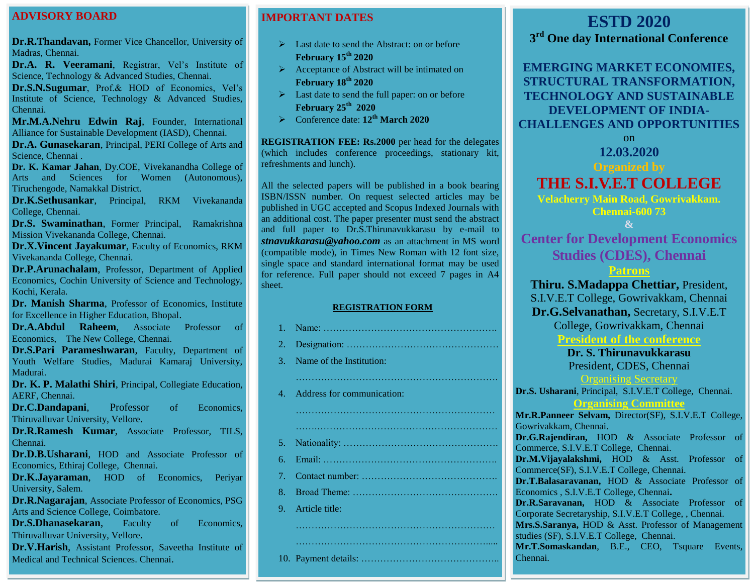### **ADVISORY BOARD**

**Dr.R.Thandavan, Former Vice Chancellor, University of** Madras, Chennai.

Dr.A. R. Veeramani, Registrar, Vel's Institute of Science, Technology & Advanced Studies, Chennai.

**Dr.S.N.Sugumar**, Prof.& HOD of Economics, Vel's Institute of Science, Technology & Advanced Studies, Chennai.

**Mr.M.A.Nehru Edwin Raj**, Founder, International Alliance for Sustainable Development (IASD), Chennai.

**Dr.A. Gunasekaran**, Principal, PERI College of Arts and Science, Chennai .

**Dr. K. Kamar Jahan**, Dy.COE, Vivekanandha College of Arts and Sciences for Women (Autonomous), Tiruchengode, Namakkal District.

**Dr.K.Sethusankar**, Principal, RKM Vivekananda College, Chennai.

**Dr.S. Swaminathan**, Former Principal, Ramakrishna Mission Vivekananda College, Chennai.

**Dr.X.Vincent Jayakumar**, Faculty of Economics, RKM Vivekananda College, Chennai.

**Dr.P.Arunachalam**, Professor, Department of Applied Economics, Cochin University of Science and Technology, Kochi, Kerala.

**Dr. Manish Sharma**, Professor of Economics, Institute for Excellence in Higher Education, Bhopal.

**Dr.A.Abdul Raheem**, Associate Professor of Economics, The New College, Chennai.

**Dr.S.Pari Parameshwaran**, Faculty, Department of Youth Welfare Studies, Madurai Kamaraj University, Madurai.

**Dr. K. P. Malathi Shiri**, Principal, Collegiate Education, AERF, Chennai.

**Dr.C.Dandapani**, Professor of Economics, Thiruvalluvar University, Vellore.

**Dr.R.Ramesh Kumar**, Associate Professor, TILS, Chennai.

**Dr.D.B.Usharani**, HOD and Associate Professor of Economics, Ethiraj College, Chennai.

**Dr.K.Jayaraman**, HOD of Economics, Periyar University, Salem.

**Dr.R.Nagarajan**, Associate Professor of Economics, PSG Arts and Science College, Coimbatore.

**Dr.S.Dhanasekaran**, Faculty of Economics, Thiruvalluvar University, Vellore.

**Dr.V.Harish**, Assistant Professor, Saveetha Institute of Medical and Technical Sciences. Chennai.

# **IMPORTANT DATES**

- $\triangleright$  Last date to send the Abstract: on or before **February 15th 2020**
- $\triangleright$  Acceptance of Abstract will be intimated on **February 18th 2020**
- Last date to send the full paper: on or before **February 25 th 2020**
- Conference date: **12th March 2020**

**REGISTRATION FEE: Rs.2000** per head for the delegates (which includes conference proceedings, stationary kit, refreshments and lunch).

All the selected papers will be published in a book bearing ISBN/ISSN number. On request selected articles may be published in UGC accepted and Scopus Indexed Journals with an additional cost. The paper presenter must send the abstract and full paper to Dr.S.Thirunavukkarasu by e-mail to *[stnavukkarasu@yahoo.com](mailto:stnavukkarasu@yahoo.com)* as an attachment in MS word (compatible mode), in Times New Roman with 12 font size, single space and standard international format may be used for reference. Full paper should not exceed 7 pages in A4 sheet.

#### **REGISTRATION FORM**

| 2. . |                               |
|------|-------------------------------|
| 3.   | Name of the Institution:      |
|      |                               |
|      | 4. Address for communication: |
|      |                               |
|      |                               |
|      |                               |
| 6.   |                               |
| 7.   |                               |
| 8.   |                               |
|      | 9. Article title:             |
|      |                               |
|      |                               |
|      |                               |

# **ESTD 2020**

**3 rd One day International Conference**

**EMERGING MARKET ECONOMIES, STRUCTURAL TRANSFORMATION, TECHNOLOGY AND SUSTAINABLE DEVELOPMENT OF INDIA-CHALLENGES AND OPPORTUNITIES**

on

**12.03.2020**

# **Organized by**

**THE S.I.V.E.T COLLEGE Velacherry Main Road, Gowrivakkam.** 

**Chennai-600 73**

**&**

**Center for Development Economics Studies (CDES), Chennai**

## **Patrons**

**Thiru. S.Madappa Chettiar,** President, S.I.V.E.T College, Gowrivakkam, Chennai **Dr.G.Selvanathan,** Secretary, S.I.V.E.T College, Gowrivakkam, Chennai **President of the conference**

# **Dr. S. Thirunavukkarasu**

President, CDES, Chennai

Organising Secretary

#### **Dr.S. Usharani**, Principal, S.I.V.E.T College, Chennai. **Organising Committee**

**Mr.R.Panneer Selvam,** Director(SF), S.I.V.E.T College, Gowrivakkam, Chennai. **Dr.G.Rajendiran,** HOD & Associate Professor of

Commerce, S.I.V.E.T College, Chennai.

**Dr.M.Vijayalakshmi,** HOD & Asst. Professor of Commerce(SF), S.I.V.E.T College, Chennai.

**Dr.T.Balasaravanan,** HOD & Associate Professor of Economics , S.I.V.E.T College, Chennai**.** 

**Dr.R.Saravanan,** HOD & Associate Professor of Corporate Secretaryship, S.I.V.E.T College, , Chennai. **Mrs.S.Saranya,** HOD & Asst. Professor of Management studies (SF), S.I.V.E.T College, Chennai.

**Mr.T.Somaskandan**, B.E., CEO, Tsquare Events, Chennai.